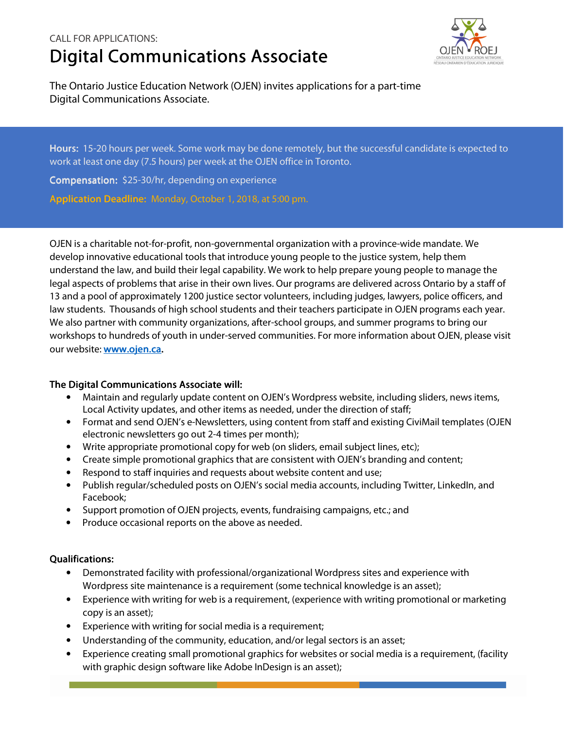## CALL FOR APPLICATIONS: **Digital Communications Associate**



The Ontario Justice Education Network (OJEN) invites applications for a part-time Digital Communications Associate.

Hours: 15-20 hours per week. Some work may be done remotely, but the successful candidate is expected to work at least one day (7.5 hours) per week at the OJEN office in Toronto.

Compensation: \$25-30/hr, depending on experience

Application Deadline: Monday, October 1, 2018, at 5:00 pm.

OJEN is a charitable not-for-profit, non-governmental organization with a province-wide mandate. We develop innovative educational tools that introduce young people to the justice system, help them understand the law, and build their legal capability. We work to help prepare young people to manage the legal aspects of problems that arise in their own lives. Our programs are delivered across Ontario by a staff of 13 and a pool of approximately 1200 justice sector volunteers, including judges, lawyers, police officers, and law students. Thousands of high school students and their teachers participate in OJEN programs each year. We also partner with community organizations, after-school groups, and summer programs to bring our workshops to hundreds of youth in under-served communities. For more information about OJEN, please visit our website: **www.ojen.ca.** 

## The Digital Communications Associate will:

- Maintain and regularly update content on OJEN's Wordpress website, including sliders, news items, Local Activity updates, and other items as needed, under the direction of staff;
- Format and send OJEN's e-Newsletters, using content from staff and existing CiviMail templates (OJEN electronic newsletters go out 2-4 times per month);
- Write appropriate promotional copy for web (on sliders, email subject lines, etc);
- Create simple promotional graphics that are consistent with OJEN's branding and content;
- Respond to staff inquiries and requests about website content and use;
- Publish regular/scheduled posts on OJEN's social media accounts, including Twitter, LinkedIn, and Facebook;
- Support promotion of OJEN projects, events, fundraising campaigns, etc.; and
- Produce occasional reports on the above as needed.

## Qualifications:

- Demonstrated facility with professional/organizational Wordpress sites and experience with Wordpress site maintenance is a requirement (some technical knowledge is an asset);
- Experience with writing for web is a requirement, (experience with writing promotional or marketing copy is an asset);
- Experience with writing for social media is a requirement;
- Understanding of the community, education, and/or legal sectors is an asset;
- Experience creating small promotional graphics for websites or social media is a requirement, (facility with graphic design software like Adobe InDesign is an asset);